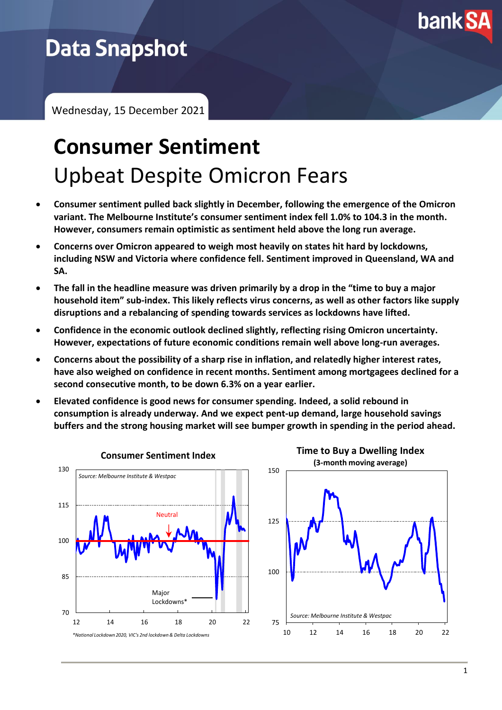

# **Data Snapshot**

Wednesday, 15 December 2021

# **Consumer Sentiment** Upbeat Despite Omicron Fears

- **Consumer sentiment pulled back slightly in December, following the emergence of the Omicron variant. The Melbourne Institute's consumer sentiment index fell 1.0% to 104.3 in the month. However, consumers remain optimistic as sentiment held above the long run average.**
- **Concerns over Omicron appeared to weigh most heavily on states hit hard by lockdowns, including NSW and Victoria where confidence fell. Sentiment improved in Queensland, WA and SA.**
- **The fall in the headline measure was driven primarily by a drop in the "time to buy a major household item" sub-index. This likely reflects virus concerns, as well as other factors like supply disruptions and a rebalancing of spending towards services as lockdowns have lifted.**
- **Confidence in the economic outlook declined slightly, reflecting rising Omicron uncertainty. However, expectations of future economic conditions remain well above long-run averages.**
- **Concerns about the possibility of a sharp rise in inflation, and relatedly higher interest rates, have also weighed on confidence in recent months. Sentiment among mortgagees declined for a second consecutive month, to be down 6.3% on a year earlier.**
- **Elevated confidence is good news for consumer spending. Indeed, a solid rebound in consumption is already underway. And we expect pent-up demand, large household savings buffers and the strong housing market will see bumper growth in spending in the period ahead.**

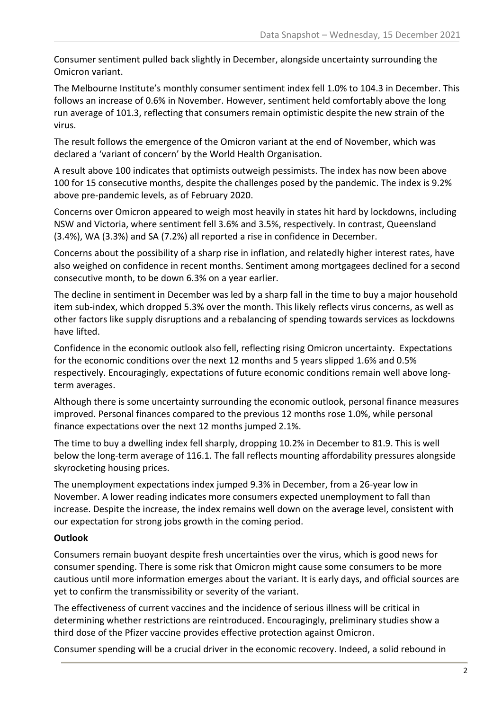Consumer sentiment pulled back slightly in December, alongside uncertainty surrounding the Omicron variant.

The Melbourne Institute's monthly consumer sentiment index fell 1.0% to 104.3 in December. This follows an increase of 0.6% in November. However, sentiment held comfortably above the long run average of 101.3, reflecting that consumers remain optimistic despite the new strain of the virus.

The result follows the emergence of the Omicron variant at the end of November, which was declared a 'variant of concern' by the World Health Organisation.

A result above 100 indicates that optimists outweigh pessimists. The index has now been above 100 for 15 consecutive months, despite the challenges posed by the pandemic. The index is 9.2% above pre-pandemic levels, as of February 2020.

Concerns over Omicron appeared to weigh most heavily in states hit hard by lockdowns, including NSW and Victoria, where sentiment fell 3.6% and 3.5%, respectively. In contrast, Queensland (3.4%), WA (3.3%) and SA (7.2%) all reported a rise in confidence in December.

Concerns about the possibility of a sharp rise in inflation, and relatedly higher interest rates, have also weighed on confidence in recent months. Sentiment among mortgagees declined for a second consecutive month, to be down 6.3% on a year earlier.

The decline in sentiment in December was led by a sharp fall in the time to buy a major household item sub-index, which dropped 5.3% over the month. This likely reflects virus concerns, as well as other factors like supply disruptions and a rebalancing of spending towards services as lockdowns have lifted.

Confidence in the economic outlook also fell, reflecting rising Omicron uncertainty. Expectations for the economic conditions over the next 12 months and 5 years slipped 1.6% and 0.5% respectively. Encouragingly, expectations of future economic conditions remain well above longterm averages.

Although there is some uncertainty surrounding the economic outlook, personal finance measures improved. Personal finances compared to the previous 12 months rose 1.0%, while personal finance expectations over the next 12 months jumped 2.1%.

The time to buy a dwelling index fell sharply, dropping 10.2% in December to 81.9. This is well below the long-term average of 116.1. The fall reflects mounting affordability pressures alongside skyrocketing housing prices.

The unemployment expectations index jumped 9.3% in December, from a 26-year low in November. A lower reading indicates more consumers expected unemployment to fall than increase. Despite the increase, the index remains well down on the average level, consistent with our expectation for strong jobs growth in the coming period.

## **Outlook**

Consumers remain buoyant despite fresh uncertainties over the virus, which is good news for consumer spending. There is some risk that Omicron might cause some consumers to be more cautious until more information emerges about the variant. It is early days, and official sources are yet to confirm the transmissibility or severity of the variant.

The effectiveness of current vaccines and the incidence of serious illness will be critical in determining whether restrictions are reintroduced. Encouragingly, preliminary studies show a third dose of the Pfizer vaccine provides effective protection against Omicron.

Consumer spending will be a crucial driver in the economic recovery. Indeed, a solid rebound in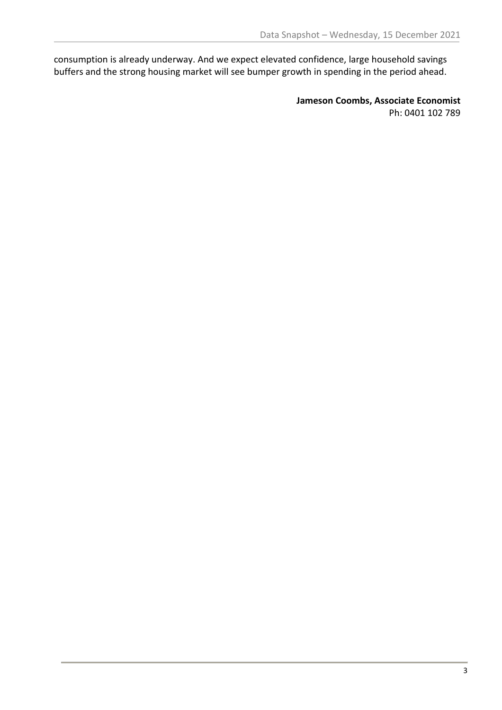consumption is already underway. And we expect elevated confidence, large household savings buffers and the strong housing market will see bumper growth in spending in the period ahead.

> **Jameson Coombs, Associate Economist** Ph: 0401 102 789